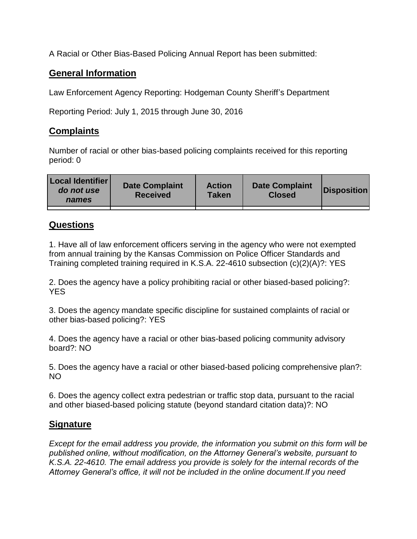A Racial or Other Bias-Based Policing Annual Report has been submitted:

## **General Information**

Law Enforcement Agency Reporting: Hodgeman County Sheriff's Department

Reporting Period: July 1, 2015 through June 30, 2016

## **Complaints**

Number of racial or other bias-based policing complaints received for this reporting period: 0

| <b>Local Identifier</b><br>do not use<br>names | <b>Date Complaint</b><br><b>Received</b> | <b>Action</b><br><b>Taken</b> | <b>Date Complaint</b><br><b>Closed</b> | Disposition |
|------------------------------------------------|------------------------------------------|-------------------------------|----------------------------------------|-------------|
|                                                |                                          |                               |                                        |             |

## **Questions**

1. Have all of law enforcement officers serving in the agency who were not exempted from annual training by the Kansas Commission on Police Officer Standards and Training completed training required in K.S.A. 22-4610 subsection (c)(2)(A)?: YES

2. Does the agency have a policy prohibiting racial or other biased-based policing?: YES

3. Does the agency mandate specific discipline for sustained complaints of racial or other bias-based policing?: YES

4. Does the agency have a racial or other bias-based policing community advisory board?: NO

5. Does the agency have a racial or other biased-based policing comprehensive plan?: NO

6. Does the agency collect extra pedestrian or traffic stop data, pursuant to the racial and other biased-based policing statute (beyond standard citation data)?: NO

## **Signature**

*Except for the email address you provide, the information you submit on this form will be published online, without modification, on the Attorney General's website, pursuant to K.S.A. 22-4610. The email address you provide is solely for the internal records of the Attorney General's office, it will not be included in the online document.If you need*